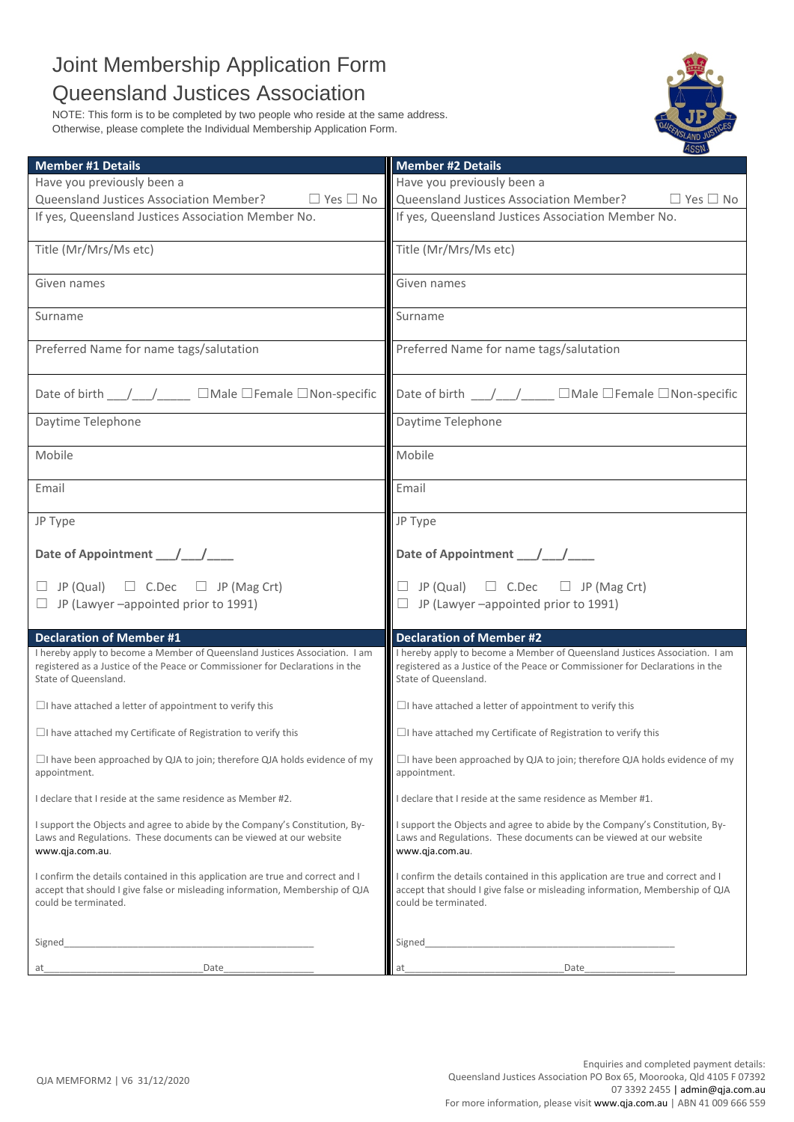## Joint Membership Application Form Queensland Justices Association

NOTE: This form is to be completed by two people who reside at the same address. Otherwise, please complete the Individual Membership Application Form.



| <b>Member #1 Details</b>                                                                                                                                                               | <b>Member #2 Details</b>                                                                                                                                                               |
|----------------------------------------------------------------------------------------------------------------------------------------------------------------------------------------|----------------------------------------------------------------------------------------------------------------------------------------------------------------------------------------|
| Have you previously been a                                                                                                                                                             | Have you previously been a                                                                                                                                                             |
| Queensland Justices Association Member? $\Box$ Yes $\Box$ No                                                                                                                           | Queensland Justices Association Member?<br>$\Box$ Yes $\Box$ No                                                                                                                        |
| If yes, Queensland Justices Association Member No.                                                                                                                                     | If yes, Queensland Justices Association Member No.                                                                                                                                     |
| Title (Mr/Mrs/Ms etc)                                                                                                                                                                  | Title (Mr/Mrs/Ms etc)                                                                                                                                                                  |
| Given names                                                                                                                                                                            | Given names                                                                                                                                                                            |
| Surname                                                                                                                                                                                | Surname                                                                                                                                                                                |
| Preferred Name for name tags/salutation                                                                                                                                                | Preferred Name for name tags/salutation                                                                                                                                                |
| Date of birth __/__/____ □Male □Female □Non-specific                                                                                                                                   | Date of birth $\frac{1}{\sqrt{1-\frac{1}{n}}}$ Male $\Box$ Female $\Box$ Non-specific                                                                                                  |
| Daytime Telephone                                                                                                                                                                      | Daytime Telephone                                                                                                                                                                      |
| Mobile                                                                                                                                                                                 | Mobile                                                                                                                                                                                 |
| Email                                                                                                                                                                                  | Email                                                                                                                                                                                  |
| JP Type                                                                                                                                                                                | JP Type                                                                                                                                                                                |
| Date of Appointment __/__/___                                                                                                                                                          | Date of Appointment __/__/___                                                                                                                                                          |
| $\Box$ JP (Qual) $\Box$ C.Dec $\Box$ JP (Mag Crt)                                                                                                                                      | $\Box$ JP (Qual) $\Box$ C.Dec $\Box$ JP (Mag Crt)                                                                                                                                      |
| $\Box$ JP (Lawyer -appointed prior to 1991)                                                                                                                                            | $\Box$ JP (Lawyer -appointed prior to 1991)                                                                                                                                            |
|                                                                                                                                                                                        |                                                                                                                                                                                        |
| <b>Declaration of Member #1</b>                                                                                                                                                        | <b>Declaration of Member #2</b>                                                                                                                                                        |
| I hereby apply to become a Member of Queensland Justices Association. I am<br>registered as a Justice of the Peace or Commissioner for Declarations in the<br>State of Queensland.     | I hereby apply to become a Member of Queensland Justices Association. I am<br>registered as a Justice of the Peace or Commissioner for Declarations in the<br>State of Queensland.     |
| $\Box$ I have attached a letter of appointment to verify this                                                                                                                          | $\Box$ I have attached a letter of appointment to verify this                                                                                                                          |
| $\Box$ I have attached my Certificate of Registration to verify this                                                                                                                   | $\Box$ I have attached my Certificate of Registration to verify this                                                                                                                   |
| $\Box$ I have been approached by QJA to join; therefore QJA holds evidence of my<br>appointment.                                                                                       | $\Box$ I have been approached by QJA to join; therefore QJA holds evidence of my<br>appointment.                                                                                       |
| I declare that I reside at the same residence as Member #2.                                                                                                                            | I declare that I reside at the same residence as Member #1.                                                                                                                            |
| I support the Objects and agree to abide by the Company's Constitution, By-<br>Laws and Regulations. These documents can be viewed at our website<br>www.qja.com.au.                   | I support the Objects and agree to abide by the Company's Constitution, By-<br>Laws and Regulations. These documents can be viewed at our website<br>www.qja.com.au.                   |
| I confirm the details contained in this application are true and correct and I<br>accept that should I give false or misleading information, Membership of QJA<br>could be terminated. | I confirm the details contained in this application are true and correct and I<br>accept that should I give false or misleading information, Membership of QJA<br>could be terminated. |
| Signed                                                                                                                                                                                 | Signed                                                                                                                                                                                 |
| Date<br>at                                                                                                                                                                             | Date<br>at                                                                                                                                                                             |